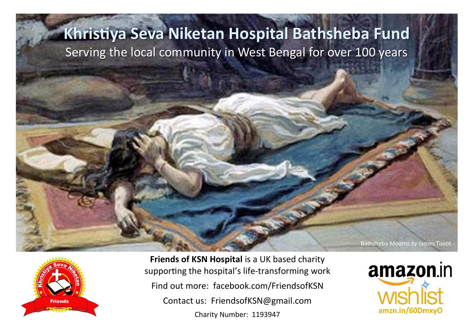## **Khristiya Seva Niketan Hospital Bathsheba Fund** Serving the local community in West Bengal for over 100 years



**Friends of KSN Hospital** is a UK based charity supporting the hospital's life-transforming work Find out more: facebook.com/FriendsofKSN Contact us: FriendsofKSN@gmail.com Charity Number: 1193947

amazon.in amzn.in/60DmxyO

Bathsheba Mourns *by* James Tissot